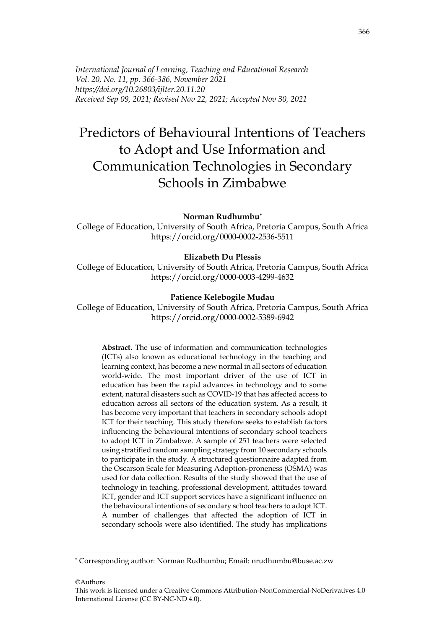*International Journal of Learning, Teaching and Educational Research Vol. 20, No. 11, pp. 366-386, November 2021 https://doi.org/10.26803/ijlter.20.11.20 Received Sep 09, 2021; Revised Nov 22, 2021; Accepted Nov 30, 2021*

# Predictors of Behavioural Intentions of Teachers to Adopt and Use Information and Communication Technologies in Secondary Schools in Zimbabwe

#### **Norman Rudhumbu\***

College of Education, University of South Africa, Pretoria Campus, South Africa https://orcid.org/0000-0002-2536-5511

#### **Elizabeth Du Plessis**

College of Education, University of South Africa, Pretoria Campus, South Africa https://orcid.org/0000-0003-4299-4632

#### **Patience Kelebogile Mudau**

College of Education, University of South Africa, Pretoria Campus, South Africa https://orcid.org/0000-0002-5389-6942

**Abstract.** The use of information and communication technologies (ICTs) also known as educational technology in the teaching and learning context, has become a new normal in all sectors of education world-wide. The most important driver of the use of ICT in education has been the rapid advances in technology and to some extent, natural disasters such as COVID-19 that has affected access to education across all sectors of the education system. As a result, it has become very important that teachers in secondary schools adopt ICT for their teaching. This study therefore seeks to establish factors influencing the behavioural intentions of secondary school teachers to adopt ICT in Zimbabwe. A sample of 251 teachers were selected using stratified random sampling strategy from 10 secondary schools to participate in the study. A structured questionnaire adapted from the Oscarson Scale for Measuring Adoption-proneness (OSMA) was used for data collection. Results of the study showed that the use of technology in teaching, professional development, attitudes toward ICT, gender and ICT support services have a significant influence on the behavioural intentions of secondary school teachers to adopt ICT. A number of challenges that affected the adoption of ICT in secondary schools were also identified. The study has implications

©Authors

<sup>\*</sup> Corresponding author: Norman Rudhumbu; Email: nrudhumbu@buse.ac.zw

This work is licensed under a Creative Commons Attribution-NonCommercial-NoDerivatives 4.0 International License (CC BY-NC-ND 4.0).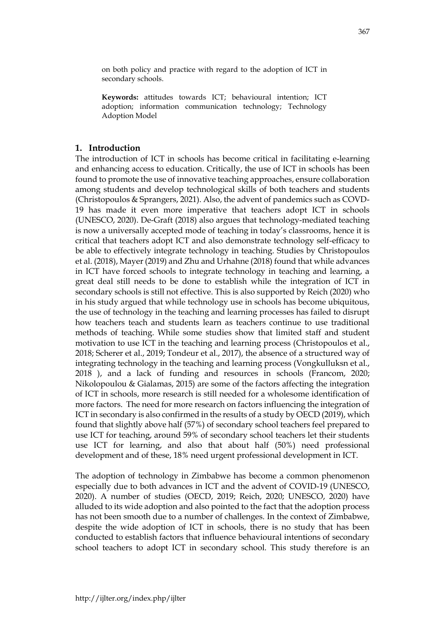on both policy and practice with regard to the adoption of ICT in secondary schools.

**Keywords:** attitudes towards ICT; behavioural intention; ICT adoption; information communication technology; Technology Adoption Model

# **1. Introduction**

The introduction of ICT in schools has become critical in facilitating e-learning and enhancing access to education. Critically, the use of ICT in schools has been found to promote the use of innovative teaching approaches, ensure collaboration among students and develop technological skills of both teachers and students (Christopoulos & Sprangers, 2021). Also, the advent of pandemics such as COVD-19 has made it even more imperative that teachers adopt ICT in schools (UNESCO, 2020). De-Graft (2018) also argues that technology-mediated teaching is now a universally accepted mode of teaching in today's classrooms, hence it is critical that teachers adopt ICT and also demonstrate technology self-efficacy to be able to effectively integrate technology in teaching. Studies by Christopoulos et al. (2018), Mayer (2019) and Zhu and Urhahne (2018) found that while advances in ICT have forced schools to integrate technology in teaching and learning, a great deal still needs to be done to establish while the integration of ICT in secondary schools is still not effective. This is also supported by Reich (2020) who in his study argued that while technology use in schools has become ubiquitous, the use of technology in the teaching and learning processes has failed to disrupt how teachers teach and students learn as teachers continue to use traditional methods of teaching. While some studies show that limited staff and student motivation to use ICT in the teaching and learning process (Christopoulos et al., 2018; Scherer et al., 2019; Tondeur et al., 2017), the absence of a structured way of integrating technology in the teaching and learning process (Vongkulluksn et al., 2018 ), and a lack of funding and resources in schools (Francom, 2020; Nikolopoulou & Gialamas, 2015) are some of the factors affecting the integration of ICT in schools, more research is still needed for a wholesome identification of more factors. The need for more research on factors influencing the integration of ICT in secondary is also confirmed in the results of a study by OECD (2019), which found that slightly above half (57%) of secondary school teachers feel prepared to use ICT for teaching, around 59% of secondary school teachers let their students use ICT for learning, and also that about half (50%) need professional development and of these, 18% need urgent professional development in ICT.

The adoption of technology in Zimbabwe has become a common phenomenon especially due to both advances in ICT and the advent of COVID-19 (UNESCO, 2020). A number of studies (OECD, 2019; Reich, 2020; UNESCO, 2020) have alluded to its wide adoption and also pointed to the fact that the adoption process has not been smooth due to a number of challenges. In the context of Zimbabwe, despite the wide adoption of ICT in schools, there is no study that has been conducted to establish factors that influence behavioural intentions of secondary school teachers to adopt ICT in secondary school. This study therefore is an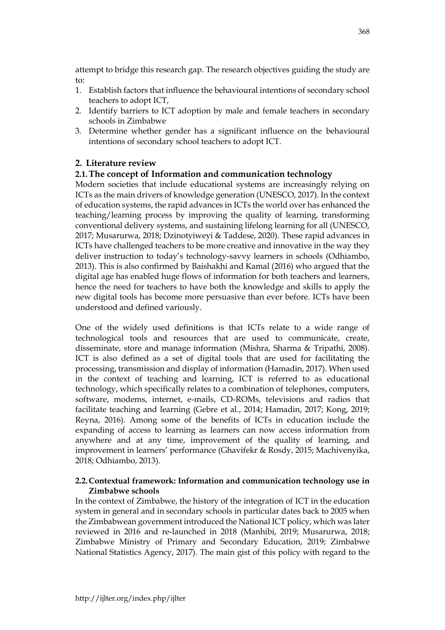attempt to bridge this research gap. The research objectives guiding the study are to:

- 1. Establish factors that influence the behavioural intentions of secondary school teachers to adopt ICT,
- 2. Identify barriers to ICT adoption by male and female teachers in secondary schools in Zimbabwe
- 3. Determine whether gender has a significant influence on the behavioural intentions of secondary school teachers to adopt ICT.

# **2. Literature review**

# **2.1.The concept of Information and communication technology**

Modern societies that include educational systems are increasingly relying on ICTs as the main drivers of knowledge generation (UNESCO, 2017). In the context of education systems, the rapid advances in ICTs the world over has enhanced the teaching/learning process by improving the quality of learning, transforming conventional delivery systems, and sustaining lifelong learning for all (UNESCO, 2017; Musarurwa, 2018; Dzinotyiweyi & Taddese, 2020). These rapid advances in ICTs have challenged teachers to be more creative and innovative in the way they deliver instruction to today's technology-savvy learners in schools (Odhiambo, 2013). This is also confirmed by Baishakhi and Kamal (2016) who argued that the digital age has enabled huge flows of information for both teachers and learners, hence the need for teachers to have both the knowledge and skills to apply the new digital tools has become more persuasive than ever before. ICTs have been understood and defined variously.

One of the widely used definitions is that ICTs relate to a wide range of technological tools and resources that are used to communicate, create, disseminate, store and manage information (Mishra, Sharma & Tripathi, 2008). ICT is also defined as a set of digital tools that are used for facilitating the processing, transmission and display of information (Hamadin, 2017). When used in the context of teaching and learning, ICT is referred to as educational technology, which specifically relates to a combination of telephones, computers, software, modems, internet, e-mails, CD-ROMs, televisions and radios that facilitate teaching and learning (Gebre et al., 2014; Hamadin, 2017; Kong, 2019; Reyna, 2016). Among some of the benefits of ICTs in education include the expanding of access to learning as learners can now access information from anywhere and at any time, improvement of the quality of learning, and improvement in learners' performance (Ghavifekr & Rosdy, 2015; Machivenyika, 2018; Odhiambo, 2013).

# **2.2.Contextual framework: Information and communication technology use in Zimbabwe schools**

In the context of Zimbabwe, the history of the integration of ICT in the education system in general and in secondary schools in particular dates back to 2005 when the Zimbabwean government introduced the National ICT policy, which was later reviewed in 2016 and re-launched in 2018 (Manhibi, 2019; Musarurwa, 2018; Zimbabwe Ministry of Primary and Secondary Education, 2019; Zimbabwe National Statistics Agency, 2017). The main gist of this policy with regard to the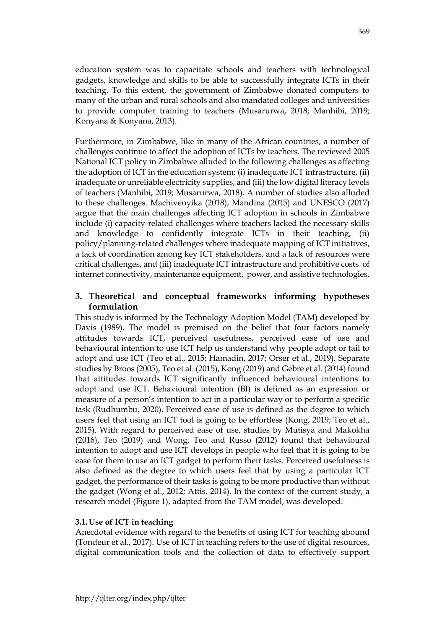education system was to capacitate schools and teachers with technological gadgets, knowledge and skills to be able to successfully integrate ICTs in their teaching. To this extent, the government of Zimbabwe donated computers to many of the urban and rural schools and also mandated colleges and universities to provide computer training to teachers (Musarurwa, 2018; Manhibi, 2019; Konyana & Konyana, 2013).

Furthermore, in Zimbabwe, like in many of the African countries, a number of challenges continue to affect the adoption of ICTs by teachers. The reviewed 2005 National ICT policy in Zimbabwe alluded to the following challenges as affecting the adoption of ICT in the education system: (i) inadequate ICT infrastructure, (ii) inadequate or unreliable electricity supplies, and (iii) the low digital literacy levels of teachers (Manhibi, 2019; Musarurwa, 2018). A number of studies also alluded to these challenges. Machivenyika (2018), Mandina (2015) and UNESCO (2017) argue that the main challenges affecting ICT adoption in schools in Zimbabwe include (i) capacity-related challenges where teachers lacked the necessary skills and knowledge to confidently integrate ICTs in their teaching, (ii) policy/planning-related challenges where inadequate mapping of ICT initiatives, a lack of coordination among key ICT stakeholders, and a lack of resources were critical challenges, and (iii) inadequate ICT infrastructure and prohibitive costs of internet connectivity, maintenance equipment, power, and assistive technologies.

# **3. Theoretical and conceptual frameworks informing hypotheses formulation**

This study is informed by the Technology Adoption Model (TAM) developed by Davis (1989). The model is premised on the belief that four factors namely attitudes towards ICT, perceived usefulness, perceived ease of use and behavioural intention to use ICT help us understand why people adopt or fail to adopt and use ICT (Teo et al., 2015; Hamadin, 2017; Orser et al., 2019). Separate studies by Broos (2005), Teo et al. (2015), Kong (2019) and Gebre et al. (2014) found that attitudes towards ICT significantly influenced behavioural intentions to adopt and use ICT. Behavioural intention (BI) is defined as an expression or measure of a person's intention to act in a particular way or to perform a specific task (Rudhumbu, 2020). Perceived ease of use is defined as the degree to which users feel that using an ICT tool is going to be effortless (Kong, 2019; Teo et al., 2015). With regard to perceived ease of use, studies by Mutisya and Makokha (2016), Teo (2019) and Wong, Teo and Russo (2012) found that behavioural intention to adopt and use ICT develops in people who feel that it is going to be ease for them to use an ICT gadget to perform their tasks. Perceived usefulness is also defined as the degree to which users feel that by using a particular ICT gadget, the performance of their tasks is going to be more productive than without the gadget (Wong et al., 2012; Attis, 2014). In the context of the current study, a research model (Figure 1), adapted from the TAM model, was developed.

# **3.1.Use of ICT in teaching**

Anecdotal evidence with regard to the benefits of using ICT for teaching abound (Tondeur et al., 2017). Use of ICT in teaching refers to the use of digital resources, digital communication tools and the collection of data to effectively support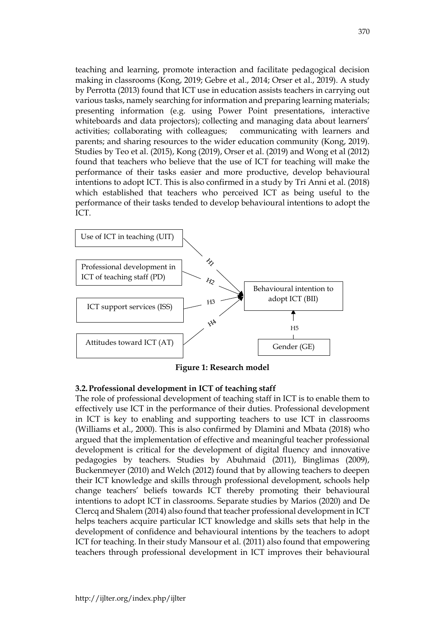teaching and learning, promote interaction and facilitate pedagogical decision making in classrooms (Kong, 2019; Gebre et al., 2014; Orser et al., 2019). A study by Perrotta (2013) found that ICT use in education assists teachers in carrying out various tasks, namely searching for information and preparing learning materials; presenting information (e.g. using Power Point presentations, interactive whiteboards and data projectors); collecting and managing data about learners' activities; collaborating with colleagues; communicating with learners and parents; and sharing resources to the wider education community (Kong, 2019). Studies by Teo et al. (2015), Kong (2019), Orser et al. (2019) and Wong et al (2012) found that teachers who believe that the use of ICT for teaching will make the performance of their tasks easier and more productive, develop behavioural intentions to adopt ICT. This is also confirmed in a study by Tri Anni et al. (2018) which established that teachers who perceived ICT as being useful to the performance of their tasks tended to develop behavioural intentions to adopt the ICT.



**Figure 1: Research model**

# **3.2.Professional development in ICT of teaching staff**

The role of professional development of teaching staff in ICT is to enable them to effectively use ICT in the performance of their duties. Professional development in ICT is key to enabling and supporting teachers to use ICT in classrooms (Williams et al., 2000). This is also confirmed by Dlamini and Mbata (2018) who argued that the implementation of effective and meaningful teacher professional development is critical for the development of digital fluency and innovative pedagogies by teachers. Studies by Abuhmaid (2011), Binglimas (2009), Buckenmeyer (2010) and Welch (2012) found that by allowing teachers to deepen their ICT knowledge and skills through professional development, schools help change teachers' beliefs towards ICT thereby promoting their behavioural intentions to adopt ICT in classrooms. Separate studies by Marios (2020) and De Clercq and Shalem (2014) also found that teacher professional development in ICT helps teachers acquire particular ICT knowledge and skills sets that help in the development of confidence and behavioural intentions by the teachers to adopt ICT for teaching. In their study Mansour et al. (2011) also found that empowering teachers through professional development in ICT improves their behavioural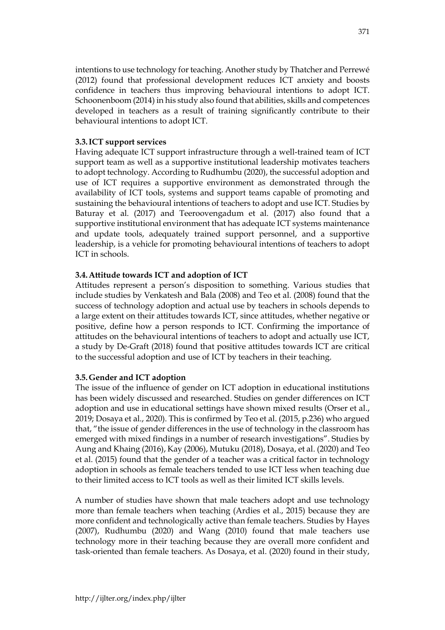intentions to use technology for teaching. Another study by Thatcher and Perrewé (2012) found that professional development reduces ICT anxiety and boosts confidence in teachers thus improving behavioural intentions to adopt ICT. Schoonenboom (2014) in his study also found that abilities, skills and competences developed in teachers as a result of training significantly contribute to their behavioural intentions to adopt ICT.

# **3.3.ICT support services**

Having adequate ICT support infrastructure through a well-trained team of ICT support team as well as a supportive institutional leadership motivates teachers to adopt technology. According to Rudhumbu (2020), the successful adoption and use of ICT requires a supportive environment as demonstrated through the availability of ICT tools, systems and support teams capable of promoting and sustaining the behavioural intentions of teachers to adopt and use ICT. Studies by Baturay et al. (2017) and Teeroovengadum et al. (2017) also found that a supportive institutional environment that has adequate ICT systems maintenance and update tools, adequately trained support personnel, and a supportive leadership, is a vehicle for promoting behavioural intentions of teachers to adopt ICT in schools.

# **3.4.Attitude towards ICT and adoption of ICT**

Attitudes represent a person's disposition to something. Various studies that include studies by Venkatesh and Bala (2008) and Teo et al. (2008) found that the success of technology adoption and actual use by teachers in schools depends to a large extent on their attitudes towards ICT, since attitudes, whether negative or positive, define how a person responds to ICT. Confirming the importance of attitudes on the behavioural intentions of teachers to adopt and actually use ICT, a study by De-Graft (2018) found that positive attitudes towards ICT are critical to the successful adoption and use of ICT by teachers in their teaching.

# **3.5.Gender and ICT adoption**

The issue of the influence of gender on ICT adoption in educational institutions has been widely discussed and researched. Studies on gender differences on ICT adoption and use in educational settings have shown mixed results (Orser et al., 2019; Dosaya et al., 2020). This is confirmed by Teo et al. (2015, p.236) who argued that, "the issue of gender differences in the use of technology in the classroom has emerged with mixed findings in a number of research investigations". Studies by Aung and Khaing (2016), Kay (2006), Mutuku (2018), Dosaya, et al. (2020) and Teo et al. (2015) found that the gender of a teacher was a critical factor in technology adoption in schools as female teachers tended to use ICT less when teaching due to their limited access to ICT tools as well as their limited ICT skills levels.

A number of studies have shown that male teachers adopt and use technology more than female teachers when teaching (Ardies et al., 2015) because they are more confident and technologically active than female teachers. Studies by Hayes (2007), Rudhumbu (2020) and Wang (2010) found that male teachers use technology more in their teaching because they are overall more confident and task-oriented than female teachers. As Dosaya, et al. (2020) found in their study,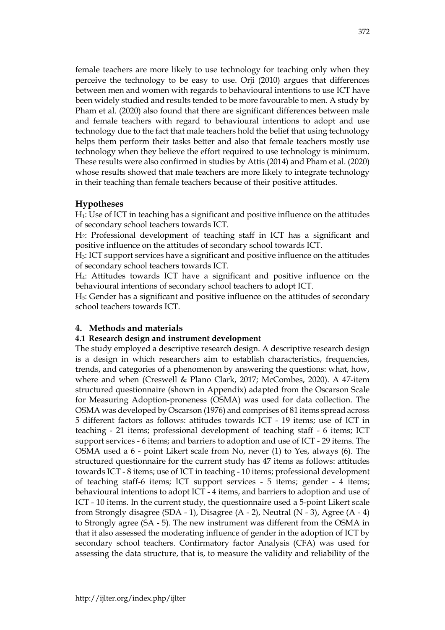female teachers are more likely to use technology for teaching only when they perceive the technology to be easy to use. Orji (2010) argues that differences between men and women with regards to behavioural intentions to use ICT have been widely studied and results tended to be more favourable to men. A study by Pham et al. (2020) also found that there are significant differences between male and female teachers with regard to behavioural intentions to adopt and use technology due to the fact that male teachers hold the belief that using technology helps them perform their tasks better and also that female teachers mostly use technology when they believe the effort required to use technology is minimum. These results were also confirmed in studies by Attis (2014) and Pham et al. (2020) whose results showed that male teachers are more likely to integrate technology in their teaching than female teachers because of their positive attitudes.

# **Hypotheses**

H1: Use of ICT in teaching has a significant and positive influence on the attitudes of secondary school teachers towards ICT.

H2: Professional development of teaching staff in ICT has a significant and positive influence on the attitudes of secondary school towards ICT.

H3: ICT support services have a significant and positive influence on the attitudes of secondary school teachers towards ICT.

H4: Attitudes towards ICT have a significant and positive influence on the behavioural intentions of secondary school teachers to adopt ICT.

H5: Gender has a significant and positive influence on the attitudes of secondary school teachers towards ICT.

#### **4. Methods and materials**

### **4.1 Research design and instrument development**

The study employed a descriptive research design. A descriptive research design is a design in which researchers aim to establish characteristics, frequencies, trends, and categories of a phenomenon by answering the questions: what, how, where and when (Creswell & Plano Clark, 2017; McCombes, 2020). A 47-item structured questionnaire (shown in Appendix) adapted from the Oscarson Scale for Measuring Adoption-proneness (OSMA) was used for data collection. The OSMA was developed by Oscarson (1976) and comprises of 81 items spread across 5 different factors as follows: attitudes towards ICT - 19 items; use of ICT in teaching - 21 items; professional development of teaching staff - 6 items; ICT support services - 6 items; and barriers to adoption and use of ICT - 29 items. The OSMA used a 6 - point Likert scale from No, never (1) to Yes, always (6). The structured questionnaire for the current study has 47 items as follows: attitudes towards ICT - 8 items; use of ICT in teaching - 10 items; professional development of teaching staff-6 items; ICT support services - 5 items; gender - 4 items; behavioural intentions to adopt ICT - 4 items, and barriers to adoption and use of ICT - 10 items. In the current study, the questionnaire used a 5-point Likert scale from Strongly disagree (SDA - 1), Disagree (A - 2), Neutral (N - 3), Agree (A - 4) to Strongly agree (SA - 5). The new instrument was different from the OSMA in that it also assessed the moderating influence of gender in the adoption of ICT by secondary school teachers. Confirmatory factor Analysis (CFA) was used for assessing the data structure, that is, to measure the validity and reliability of the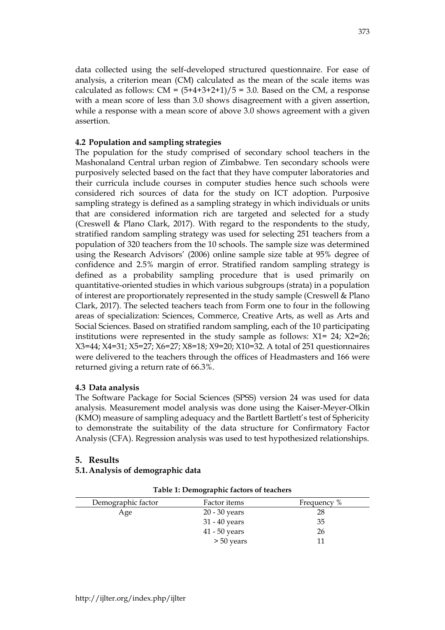data collected using the self-developed structured questionnaire. For ease of analysis, a criterion mean (CM) calculated as the mean of the scale items was calculated as follows:  $CM = (5+4+3+2+1)/5 = 3.0$ . Based on the CM, a response with a mean score of less than 3.0 shows disagreement with a given assertion, while a response with a mean score of above 3.0 shows agreement with a given assertion.

### **4.2 Population and sampling strategies**

The population for the study comprised of secondary school teachers in the Mashonaland Central urban region of Zimbabwe. Ten secondary schools were purposively selected based on the fact that they have computer laboratories and their curricula include courses in computer studies hence such schools were considered rich sources of data for the study on ICT adoption. Purposive sampling strategy is defined as a sampling strategy in which individuals or units that are considered information rich are targeted and selected for a study (Creswell & Plano Clark, 2017). With regard to the respondents to the study, stratified random sampling strategy was used for selecting 251 teachers from a population of 320 teachers from the 10 schools. The sample size was determined using the Research Advisors' (2006) online sample size table at 95% degree of confidence and 2.5% margin of error. Stratified random sampling strategy is defined as a probability sampling procedure that is used primarily on quantitative-oriented studies in which various subgroups (strata) in a population of interest are proportionately represented in the study sample (Creswell & Plano Clark, 2017). The selected teachers teach from Form one to four in the following areas of specialization: Sciences, Commerce, Creative Arts, as well as Arts and Social Sciences. Based on stratified random sampling, each of the 10 participating institutions were represented in the study sample as follows:  $X1 = 24$ ;  $X2=26$ ; X3=44; X4=31; X5=27; X6=27; X8=18; X9=20; X10=32. A total of 251 questionnaires were delivered to the teachers through the offices of Headmasters and 166 were returned giving a return rate of 66.3%.

#### **4.3 Data analysis**

The Software Package for Social Sciences (SPSS) version 24 was used for data analysis. Measurement model analysis was done using the Kaiser-Meyer-Olkin (KMO) measure of sampling adequacy and the Bartlett Bartlett's test of Sphericity to demonstrate the suitability of the data structure for Confirmatory Factor Analysis (CFA). Regression analysis was used to test hypothesized relationships.

#### **5. Results**

# **5.1.Analysis of demographic data**

#### **Table 1: Demographic factors of teachers**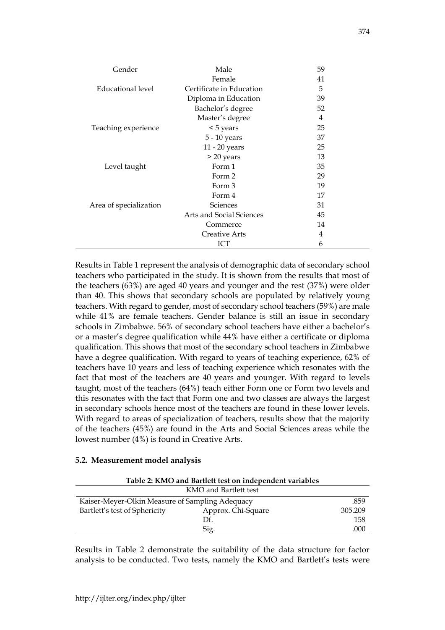| Gender                 | Male                     | 59 |
|------------------------|--------------------------|----|
|                        | Female                   | 41 |
| Educational level      | Certificate in Education | 5  |
|                        | Diploma in Education     | 39 |
|                        | Bachelor's degree        | 52 |
|                        | Master's degree          | 4  |
| Teaching experience    | $<$ 5 years              | 25 |
|                        | 5 - 10 years             | 37 |
|                        | 11 - 20 years            | 25 |
|                        | > 20 years               | 13 |
| Level taught           | Form 1                   | 35 |
|                        | Form 2                   | 29 |
|                        | Form 3                   | 19 |
|                        | Form 4                   | 17 |
| Area of specialization | <b>Sciences</b>          | 31 |
|                        | Arts and Social Sciences | 45 |
|                        | Commerce                 | 14 |
|                        | Creative Arts            | 4  |
|                        | ICT                      | 6  |

Results in Table 1 represent the analysis of demographic data of secondary school teachers who participated in the study. It is shown from the results that most of the teachers (63%) are aged 40 years and younger and the rest (37%) were older than 40. This shows that secondary schools are populated by relatively young teachers. With regard to gender, most of secondary school teachers (59%) are male while 41% are female teachers. Gender balance is still an issue in secondary schools in Zimbabwe. 56% of secondary school teachers have either a bachelor's or a master's degree qualification while 44% have either a certificate or diploma qualification. This shows that most of the secondary school teachers in Zimbabwe have a degree qualification. With regard to years of teaching experience, 62% of teachers have 10 years and less of teaching experience which resonates with the fact that most of the teachers are 40 years and younger. With regard to levels taught, most of the teachers (64%) teach either Form one or Form two levels and this resonates with the fact that Form one and two classes are always the largest in secondary schools hence most of the teachers are found in these lower levels. With regard to areas of specialization of teachers, results show that the majority of the teachers (45%) are found in the Arts and Social Sciences areas while the lowest number (4%) is found in Creative Arts.

#### **5.2. Measurement model analysis**

| Table 2: KMO and Bartlett test on independent variables |                       |         |  |  |  |
|---------------------------------------------------------|-----------------------|---------|--|--|--|
|                                                         | KMO and Bartlett test |         |  |  |  |
| Kaiser-Meyer-Olkin Measure of Sampling Adequacy         |                       |         |  |  |  |
| Bartlett's test of Sphericity                           | Approx. Chi-Square    | 305.209 |  |  |  |
|                                                         | Df.                   | 158     |  |  |  |
|                                                         | Sig.                  | .000    |  |  |  |

Results in Table 2 demonstrate the suitability of the data structure for factor analysis to be conducted. Two tests, namely the KMO and Bartlett's tests were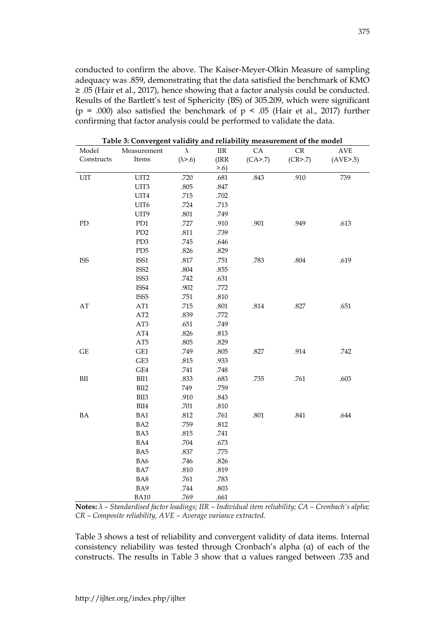conducted to confirm the above. The Kaiser-Meyer-Olkin Measure of sampling adequacy was .859, demonstrating that the data satisfied the benchmark of KMO ≥ .05 (Hair et al., 2017), hence showing that a factor analysis could be conducted. Results of the Bartlett's test of Sphericity (BS) of 305.209, which were significant (p = .000) also satisfied the benchmark of  $p \le .05$  (Hair et al., 2017) further confirming that factor analysis could be performed to validate the data.

| Model                  | Measurement      | $\lambda$        | $\rm IIR$ | ${\rm CA}$ | CR        | $\operatorname{AVE}$ |
|------------------------|------------------|------------------|-----------|------------|-----------|----------------------|
| Constructs             | Items            | $(\lambda > .6)$ | (IRR      | (CA>7)     | (CR > .7) | (AVE > .5)           |
|                        |                  |                  | > 0.6     |            |           |                      |
| UIT                    | UIT2             | .720             | .681      | .843       | .910      | 739                  |
|                        | UIT3             | .805             | .847      |            |           |                      |
|                        | UIT4             | .715             | .702      |            |           |                      |
|                        | UIT6             | .724             | .713      |            |           |                      |
|                        | UIT9             | $.801\,$         | .749      |            |           |                      |
| PD                     | PD1              | .727             | .910      | .901       | .949      | .613                 |
|                        | PD <sub>2</sub>  | $.811\,$         | .739      |            |           |                      |
|                        | PD3              | .745             | .646      |            |           |                      |
|                        | PD5              | .826             | .829      |            |           |                      |
| <b>ISS</b>             | ISS1             | $.817\,$         | .751      | .783       | $.804\,$  | .619                 |
|                        | ISS <sub>2</sub> | $.804\,$         | .855      |            |           |                      |
|                        | ISS <sub>3</sub> | .742             | .631      |            |           |                      |
|                        | ISS4             | .902             | .772      |            |           |                      |
|                        | ISS <sub>5</sub> | .751             | .810      |            |           |                      |
| $\mathbf{A}\mathbf{T}$ | AT1              | .715             | $.801\,$  | $.814\,$   | .827      | .651                 |
|                        | AT2              | .839             | .772      |            |           |                      |
|                        | AT3              | .651             | .749      |            |           |                      |
|                        | $\rm AT4$        | .826             | .813      |            |           |                      |
|                        | AT5              | .805             | .829      |            |           |                      |
| $\operatorname{GE}$    | GE1              | .749             | .805      | .827       | .914      | .742                 |
|                        | GE3              | .815             | .933      |            |           |                      |
|                        | GE4              | .741             | .748      |            |           |                      |
| ${\rm BII}$            | $\rm BII1$       | .833             | .683      | .735       | .761      | .603                 |
|                        | BII2             | 749              | .759      |            |           |                      |
|                        | $\rm BII3$       | .910             | .843      |            |           |                      |
|                        | $\rm BII4$       | .701             | .810      |            |           |                      |
| BA                     | BA1              | .812             | .761      | .801       | $.841\,$  | .644                 |
|                        | BA <sub>2</sub>  | .759             | .812      |            |           |                      |
|                        | BA3              | .815             | .741      |            |           |                      |
|                        | BA4              | .704             | .673      |            |           |                      |
|                        | BA5              | .837             | .775      |            |           |                      |
|                        | BA6              | .746             | .826      |            |           |                      |
|                        | BA7              | $.810\,$         | .819      |            |           |                      |
|                        | BA8              | .761             | .783      |            |           |                      |
|                        | BA9              | .744             | .803      |            |           |                      |
|                        | <b>BA10</b>      | .769             | .661      |            |           |                      |

**Table 3: Convergent validity and reliability measurement of the model**

**Notes:** *λ – Standardised factor loadings; IIR – Individual item reliability; CA – Cronbach's alpha; CR – Composite reliability, AVE – Average variance extracted.*

Table 3 shows a test of reliability and convergent validity of data items. Internal consistency reliability was tested through Cronbach's alpha (α) of each of the constructs. The results in Table 3 show that α values ranged between .735 and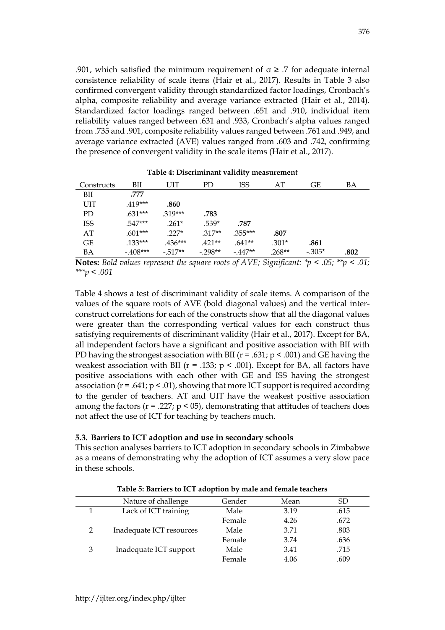.901, which satisfied the minimum requirement of  $\alpha \geq 0.7$  for adequate internal consistence reliability of scale items (Hair et al., 2017). Results in Table 3 also confirmed convergent validity through standardized factor loadings, Cronbach's alpha, composite reliability and average variance extracted (Hair et al., 2014). Standardized factor loadings ranged between .651 and .910, individual item reliability values ranged between .631 and .933, Cronbach's alpha values ranged from .735 and .901, composite reliability values ranged between .761 and .949, and average variance extracted (AVE) values ranged from .603 and .742, confirming the presence of convergent validity in the scale items (Hair et al., 2017).

|            |           |           |           | ╯          |          |          |      |
|------------|-----------|-----------|-----------|------------|----------|----------|------|
| Constructs | BII       | UIT       | PD.       | <b>ISS</b> | AT       | GE       | BA   |
| BII        | .777      |           |           |            |          |          |      |
| UIT        | $.419***$ | .860      |           |            |          |          |      |
| PD         | $.631***$ | $.319***$ | .783      |            |          |          |      |
| <b>ISS</b> | $.547***$ | $.261*$   | $.539*$   | .787       |          |          |      |
| AT         | $.601***$ | $.227*$   | $.317**$  | $.355***$  | .807     |          |      |
| GE         | $.133***$ | $.436***$ | $.421**$  | $.641**$   | $.301*$  | .861     |      |
| BA         | $-408***$ | $-.517**$ | $-.298**$ | $-447**$   | $.268**$ | $-.305*$ | .802 |

**Table 4: Discriminant validity measurement**

**Notes:** *Bold values represent the square roots of AVE; Significant: \*p < .05; \*\*p < .01; \*\*\*p < .001*

Table 4 shows a test of discriminant validity of scale items. A comparison of the values of the square roots of AVE (bold diagonal values) and the vertical interconstruct correlations for each of the constructs show that all the diagonal values were greater than the corresponding vertical values for each construct thus satisfying requirements of discriminant validity (Hair et al., 2017). Except for BA, all independent factors have a significant and positive association with BII with PD having the strongest association with BII ( $r = .631$ ;  $p < .001$ ) and GE having the weakest association with BII ( $r = .133$ ;  $p < .001$ ). Except for BA, all factors have positive associations with each other with GE and ISS having the strongest association ( $r = .641$ ;  $p < .01$ ), showing that more ICT support is required according to the gender of teachers. AT and UIT have the weakest positive association among the factors ( $r = .227$ ;  $p < 05$ ), demonstrating that attitudes of teachers does not affect the use of ICT for teaching by teachers much.

#### **5.3. Barriers to ICT adoption and use in secondary schools**

This section analyses barriers to ICT adoption in secondary schools in Zimbabwe as a means of demonstrating why the adoption of ICT assumes a very slow pace in these schools.

|               | Nature of challenge      | Gender | Mean | SD   |  |
|---------------|--------------------------|--------|------|------|--|
|               | Lack of ICT training     | Male   | 3.19 | .615 |  |
|               |                          | Female | 4.26 | .672 |  |
| $\mathcal{P}$ | Inadequate ICT resources | Male   | 3.71 | .803 |  |
|               |                          | Female | 3.74 | .636 |  |
| 3             | Inadequate ICT support   | Male   | 3.41 | .715 |  |
|               |                          | Female | 4.06 | .609 |  |

**Table 5: Barriers to ICT adoption by male and female teachers**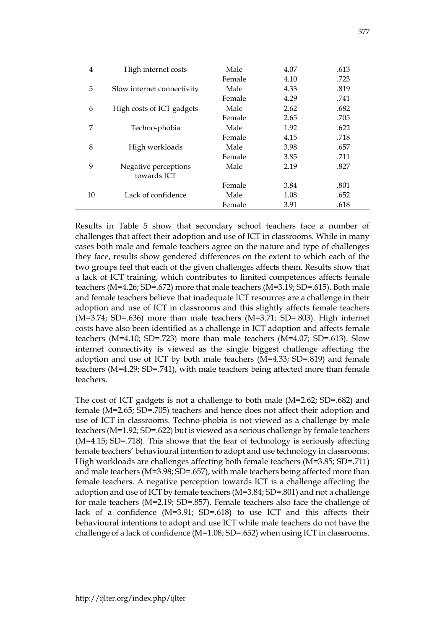| 4  | High internet costs        | Male   | 4.07 | .613 |
|----|----------------------------|--------|------|------|
|    |                            | Female | 4.10 | .723 |
| 5  | Slow internet connectivity | Male   | 4.33 | .819 |
|    |                            | Female | 4.29 | .741 |
| 6  | High costs of ICT gadgets  | Male   | 2.62 | .682 |
|    |                            | Female | 2.65 | .705 |
| 7  | Techno-phobia              | Male   | 1.92 | .622 |
|    |                            | Female | 4.15 | .718 |
| 8  | High workloads             | Male   | 3.98 | .657 |
|    |                            | Female | 3.85 | .711 |
| 9  | Negative perceptions       | Male   | 2.19 | .827 |
|    | towards ICT                |        |      |      |
|    |                            | Female | 3.84 | .801 |
| 10 | Lack of confidence         | Male   | 1.08 | .652 |
|    |                            | Female | 3.91 | .618 |

Results in Table 5 show that secondary school teachers face a number of challenges that affect their adoption and use of ICT in classrooms. While in many cases both male and female teachers agree on the nature and type of challenges they face, results show gendered differences on the extent to which each of the two groups feel that each of the given challenges affects them. Results show that a lack of ICT training, which contributes to limited competences affects female teachers (M=4.26; SD=.672) more that male teachers (M=3.19; SD=.615). Both male and female teachers believe that inadequate ICT resources are a challenge in their adoption and use of ICT in classrooms and this slightly affects female teachers  $(M=3.74; SD=.636)$  more than male teachers  $(M=3.71; SD=.803)$ . High internet costs have also been identified as a challenge in ICT adoption and affects female teachers (M=4.10; SD=.723) more than male teachers (M=4.07; SD=.613). Slow internet connectivity is viewed as the single biggest challenge affecting the adoption and use of ICT by both male teachers (M=4.33; SD=.819) and female teachers (M=4.29; SD=.741), with male teachers being affected more than female teachers.

The cost of ICT gadgets is not a challenge to both male (M=2.62; SD=.682) and female (M=2.65; SD=.705) teachers and hence does not affect their adoption and use of ICT in classrooms. Techno-phobia is not viewed as a challenge by male teachers (M=1.92; SD=.622) but is viewed as a serious challenge by female teachers (M=4.15; SD=.718). This shows that the fear of technology is seriously affecting female teachers' behavioural intention to adopt and use technology in classrooms. High workloads are challenges affecting both female teachers (M=3.85; SD=.711) and male teachers (M=3.98; SD=.657), with male teachers being affected more than female teachers. A negative perception towards ICT is a challenge affecting the adoption and use of ICT by female teachers (M=3.84; SD=.801) and not a challenge for male teachers (M=2.19; SD=.857). Female teachers also face the challenge of lack of a confidence (M=3.91; SD=.618) to use ICT and this affects their behavioural intentions to adopt and use ICT while male teachers do not have the challenge of a lack of confidence  $(M=1.08; SD=.652)$  when using ICT in classrooms.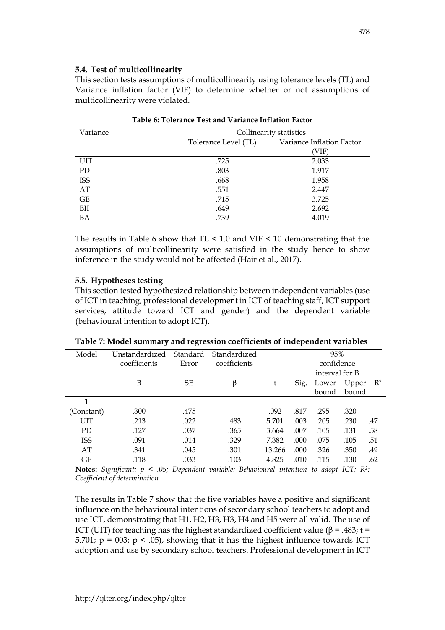### **5.4. Test of multicollinearity**

This section tests assumptions of multicollinearity using tolerance levels (TL) and Variance inflation factor (VIF) to determine whether or not assumptions of multicollinearity were violated.

| Table 6: Tolerance Test and Variance Inflation Factor |                         |                           |  |  |  |  |
|-------------------------------------------------------|-------------------------|---------------------------|--|--|--|--|
| Variance                                              | Collinearity statistics |                           |  |  |  |  |
|                                                       | Tolerance Level (TL)    | Variance Inflation Factor |  |  |  |  |
|                                                       |                         | (VIF)                     |  |  |  |  |
| <b>UIT</b>                                            | .725                    | 2.033                     |  |  |  |  |
| PD.                                                   | .803                    | 1.917                     |  |  |  |  |
| <b>ISS</b>                                            | .668                    | 1.958                     |  |  |  |  |
| AT                                                    | .551                    | 2.447                     |  |  |  |  |
| GE                                                    | .715                    | 3.725                     |  |  |  |  |
| BII                                                   | .649                    | 2.692                     |  |  |  |  |
| BA                                                    | .739                    | 4.019                     |  |  |  |  |

The results in Table 6 show that  $TL < 1.0$  and  $VIF < 10$  demonstrating that the assumptions of multicollinearity were satisfied in the study hence to show inference in the study would not be affected (Hair et al., 2017).

# **5.5. Hypotheses testing**

This section tested hypothesized relationship between independent variables (use of ICT in teaching, professional development in ICT of teaching staff, ICT support services, attitude toward ICT and gender) and the dependent variable (behavioural intention to adopt ICT).

| Model      | Unstandardized | Standard  | Standardized |        | 95%  |                |       |       |
|------------|----------------|-----------|--------------|--------|------|----------------|-------|-------|
|            | coefficients   | Error     | coefficients |        |      | confidence     |       |       |
|            |                |           |              |        |      | interval for B |       |       |
|            | B              | <b>SE</b> | β            | t      | Sig. | Lower          | Upper | $R^2$ |
|            |                |           |              |        |      | bound          | bound |       |
| 1          |                |           |              |        |      |                |       |       |
| (Constant) | .300           | .475      |              | .092   | .817 | .295           | .320  |       |
| <b>UIT</b> | .213           | .022      | .483         | 5.701  | .003 | .205           | .230  | .47   |
| <b>PD</b>  | .127           | .037      | .365         | 3.664  | .007 | .105           | .131  | .58   |
| <b>ISS</b> | .091           | .014      | .329         | 7.382  | .000 | .075           | .105  | .51   |
| AT         | .341           | .045      | .301         | 13.266 | .000 | .326           | .350  | .49   |
| GЕ         | .118           | .033      | .103         | 4.825  | .010 | .115           | .130  | .62   |

**Table 7: Model summary and regression coefficients of independent variables**

**Notes:** *Significant: p < .05; Dependent variable: Behavioural intention to adopt ICT; R<sup>2</sup> : Coefficient of determination*

The results in Table 7 show that the five variables have a positive and significant influence on the behavioural intentions of secondary school teachers to adopt and use ICT, demonstrating that H1, H2, H3, H3, H4 and H5 were all valid. The use of ICT (UIT) for teaching has the highest standardized coefficient value (β = .483; t = 5.701;  $p = 003$ ;  $p < .05$ ), showing that it has the highest influence towards ICT adoption and use by secondary school teachers. Professional development in ICT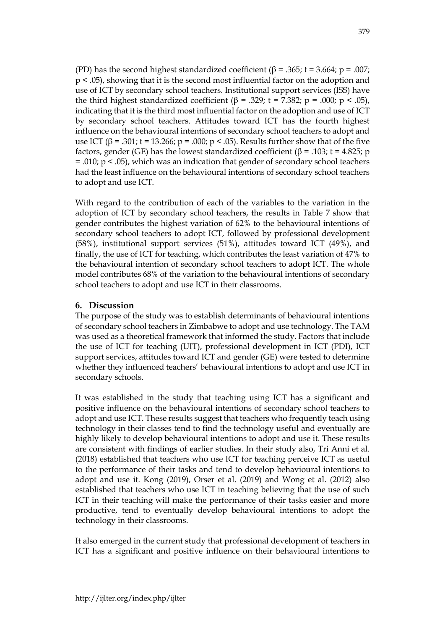(PD) has the second highest standardized coefficient ( $\beta$  = .365; t = 3.664; p = .007; p < .05), showing that it is the second most influential factor on the adoption and use of ICT by secondary school teachers. Institutional support services (ISS) have the third highest standardized coefficient (β = .329; t = 7.382; p = .000; p < .05), indicating that it is the third most influential factor on the adoption and use of ICT by secondary school teachers. Attitudes toward ICT has the fourth highest influence on the behavioural intentions of secondary school teachers to adopt and use ICT ( $\beta$  = .301; t = 13.266; p = .000; p < .05). Results further show that of the five factors, gender (GE) has the lowest standardized coefficient ( $\beta$  = .103; t = 4.825; p  $= .010$ ; p  $\leq .05$ ), which was an indication that gender of secondary school teachers had the least influence on the behavioural intentions of secondary school teachers to adopt and use ICT.

With regard to the contribution of each of the variables to the variation in the adoption of ICT by secondary school teachers, the results in Table 7 show that gender contributes the highest variation of 62% to the behavioural intentions of secondary school teachers to adopt ICT, followed by professional development (58%), institutional support services (51%), attitudes toward ICT (49%), and finally, the use of ICT for teaching, which contributes the least variation of 47% to the behavioural intention of secondary school teachers to adopt ICT. The whole model contributes 68% of the variation to the behavioural intentions of secondary school teachers to adopt and use ICT in their classrooms.

# **6. Discussion**

The purpose of the study was to establish determinants of behavioural intentions of secondary school teachers in Zimbabwe to adopt and use technology. The TAM was used as a theoretical framework that informed the study. Factors that include the use of ICT for teaching (UIT), professional development in ICT (PDI), ICT support services, attitudes toward ICT and gender (GE) were tested to determine whether they influenced teachers' behavioural intentions to adopt and use ICT in secondary schools.

It was established in the study that teaching using ICT has a significant and positive influence on the behavioural intentions of secondary school teachers to adopt and use ICT. These results suggest that teachers who frequently teach using technology in their classes tend to find the technology useful and eventually are highly likely to develop behavioural intentions to adopt and use it. These results are consistent with findings of earlier studies. In their study also, Tri Anni et al. (2018) established that teachers who use ICT for teaching perceive ICT as useful to the performance of their tasks and tend to develop behavioural intentions to adopt and use it. Kong (2019), Orser et al. (2019) and Wong et al. (2012) also established that teachers who use ICT in teaching believing that the use of such ICT in their teaching will make the performance of their tasks easier and more productive, tend to eventually develop behavioural intentions to adopt the technology in their classrooms.

It also emerged in the current study that professional development of teachers in ICT has a significant and positive influence on their behavioural intentions to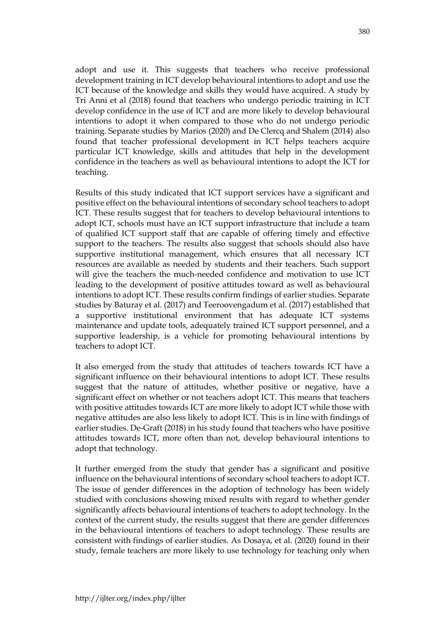adopt and use it. This suggests that teachers who receive professional development training in ICT develop behavioural intentions to adopt and use the ICT because of the knowledge and skills they would have acquired. A study by Tri Anni et al (2018) found that teachers who undergo periodic training in ICT develop confidence in the use of ICT and are more likely to develop behavioural intentions to adopt it when compared to those who do not undergo periodic training. Separate studies by Marios (2020) and De Clercq and Shalem (2014) also found that teacher professional development in ICT helps teachers acquire particular ICT knowledge, skills and attitudes that help in the development confidence in the teachers as well as behavioural intentions to adopt the ICT for teaching.

Results of this study indicated that ICT support services have a significant and positive effect on the behavioural intentions of secondary school teachers to adopt ICT. These results suggest that for teachers to develop behavioural intentions to adopt ICT, schools must have an ICT support infrastructure that include a team of qualified ICT support staff that are capable of offering timely and effective support to the teachers. The results also suggest that schools should also have supportive institutional management, which ensures that all necessary ICT resources are available as needed by students and their teachers. Such support will give the teachers the much-needed confidence and motivation to use ICT leading to the development of positive attitudes toward as well as behavioural intentions to adopt ICT. These results confirm findings of earlier studies. Separate studies by Baturay et al. (2017) and Teeroovengadum et al. (2017) established that a supportive institutional environment that has adequate ICT systems maintenance and update tools, adequately trained ICT support personnel, and a supportive leadership, is a vehicle for promoting behavioural intentions by teachers to adopt ICT.

It also emerged from the study that attitudes of teachers towards ICT have a significant influence on their behavioural intentions to adopt ICT. These results suggest that the nature of attitudes, whether positive or negative, have a significant effect on whether or not teachers adopt ICT. This means that teachers with positive attitudes towards ICT are more likely to adopt ICT while those with negative attitudes are also less likely to adopt ICT. This is in line with findings of earlier studies. De-Graft (2018) in his study found that teachers who have positive attitudes towards ICT, more often than not, develop behavioural intentions to adopt that technology.

It further emerged from the study that gender has a significant and positive influence on the behavioural intentions of secondary school teachers to adopt ICT. The issue of gender differences in the adoption of technology has been widely studied with conclusions showing mixed results with regard to whether gender significantly affects behavioural intentions of teachers to adopt technology. In the context of the current study, the results suggest that there are gender differences in the behavioural intentions of teachers to adopt technology. These results are consistent with findings of earlier studies. As Dosaya, et al. (2020) found in their study, female teachers are more likely to use technology for teaching only when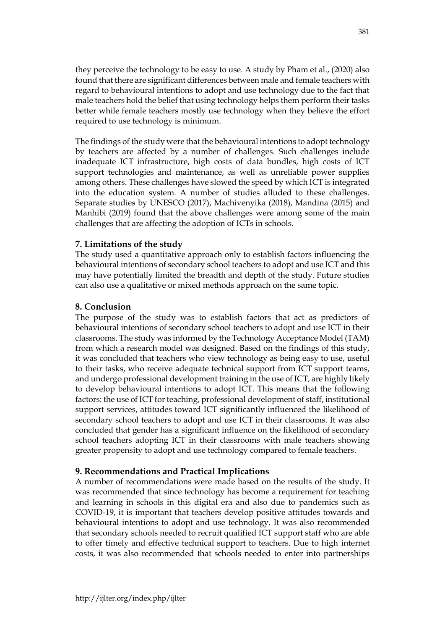they perceive the technology to be easy to use. A study by Pham et al., (2020) also found that there are significant differences between male and female teachers with regard to behavioural intentions to adopt and use technology due to the fact that male teachers hold the belief that using technology helps them perform their tasks better while female teachers mostly use technology when they believe the effort required to use technology is minimum.

The findings of the study were that the behavioural intentions to adopt technology by teachers are affected by a number of challenges. Such challenges include inadequate ICT infrastructure, high costs of data bundles, high costs of ICT support technologies and maintenance, as well as unreliable power supplies among others. These challenges have slowed the speed by which ICT is integrated into the education system. A number of studies alluded to these challenges. Separate studies by UNESCO (2017), Machivenyika (2018), Mandina (2015) and Manhibi (2019) found that the above challenges were among some of the main challenges that are affecting the adoption of ICTs in schools.

# **7. Limitations of the study**

The study used a quantitative approach only to establish factors influencing the behavioural intentions of secondary school teachers to adopt and use ICT and this may have potentially limited the breadth and depth of the study. Future studies can also use a qualitative or mixed methods approach on the same topic.

# **8. Conclusion**

The purpose of the study was to establish factors that act as predictors of behavioural intentions of secondary school teachers to adopt and use ICT in their classrooms. The study was informed by the Technology Acceptance Model (TAM) from which a research model was designed. Based on the findings of this study, it was concluded that teachers who view technology as being easy to use, useful to their tasks, who receive adequate technical support from ICT support teams, and undergo professional development training in the use of ICT, are highly likely to develop behavioural intentions to adopt ICT. This means that the following factors: the use of ICT for teaching, professional development of staff, institutional support services, attitudes toward ICT significantly influenced the likelihood of secondary school teachers to adopt and use ICT in their classrooms. It was also concluded that gender has a significant influence on the likelihood of secondary school teachers adopting ICT in their classrooms with male teachers showing greater propensity to adopt and use technology compared to female teachers.

# **9. Recommendations and Practical Implications**

A number of recommendations were made based on the results of the study. It was recommended that since technology has become a requirement for teaching and learning in schools in this digital era and also due to pandemics such as COVID-19, it is important that teachers develop positive attitudes towards and behavioural intentions to adopt and use technology. It was also recommended that secondary schools needed to recruit qualified ICT support staff who are able to offer timely and effective technical support to teachers. Due to high internet costs, it was also recommended that schools needed to enter into partnerships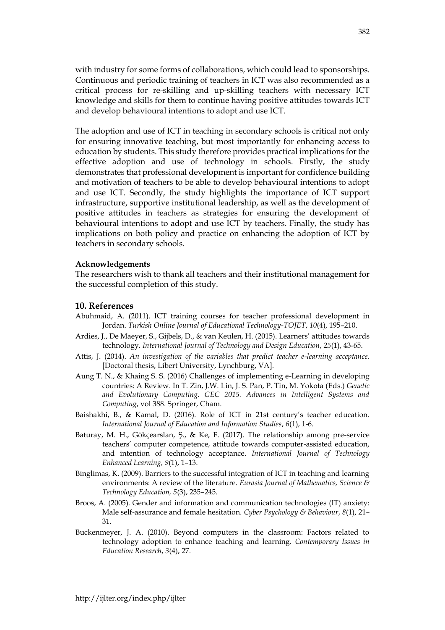with industry for some forms of collaborations, which could lead to sponsorships. Continuous and periodic training of teachers in ICT was also recommended as a critical process for re-skilling and up-skilling teachers with necessary ICT knowledge and skills for them to continue having positive attitudes towards ICT and develop behavioural intentions to adopt and use ICT.

The adoption and use of ICT in teaching in secondary schools is critical not only for ensuring innovative teaching, but most importantly for enhancing access to education by students. This study therefore provides practical implications for the effective adoption and use of technology in schools. Firstly, the study demonstrates that professional development is important for confidence building and motivation of teachers to be able to develop behavioural intentions to adopt and use ICT. Secondly, the study highlights the importance of ICT support infrastructure, supportive institutional leadership, as well as the development of positive attitudes in teachers as strategies for ensuring the development of behavioural intentions to adopt and use ICT by teachers. Finally, the study has implications on both policy and practice on enhancing the adoption of ICT by teachers in secondary schools.

#### **Acknowledgements**

The researchers wish to thank all teachers and their institutional management for the successful completion of this study.

#### **10. References**

- Abuhmaid, A. (2011). ICT training courses for teacher professional development in Jordan. *Turkish Online Journal of Educational Technology-TOJET*, *10*(4), 195–210.
- Ardies, J., De Maeyer, S., Gijbels, D., & van Keulen, H. (2015). Learners' attitudes towards technology. *International Journal of Technology and Design Education*, *25*(1), 43-65.
- Attis, J. (2014). *An investigation of the variables that predict teacher e-learning acceptance.*  [Doctoral thesis, Libert University, Lynchburg, VA].
- Aung T. N., & Khaing S. S. (2016) Challenges of implementing e-Learning in developing countries: A Review. In T. Zin, J.W. Lin, J. S. Pan, P. Tin, M. Yokota (Eds.) *Genetic and Evolutionary Computing. GEC 2015. Advances in Intelligent Systems and Computing*, vol 388. Springer, Cham.
- Baishakhi, B., & Kamal, D. (2016). Role of ICT in 21st century's teacher education. *International Journal of Education and Information Studies*, *6*(1), 1-6.
- Baturay, M. H., Gökçearslan, Ş., & Ke, F. (2017). The relationship among pre-service teachers' computer competence, attitude towards computer-assisted education, and intention of technology acceptance. *International Journal of Technology Enhanced Learning, 9*(1), 1–13.
- Binglimas, K. (2009). Barriers to the successful integration of ICT in teaching and learning environments: A review of the literature. *Eurasia Journal of Mathematics, Science & Technology Education, 5*(3), 235–245.
- Broos, A. (2005). Gender and information and communication technologies (IT) anxiety: Male self-assurance and female hesitation. *Cyber Psychology & Behaviour*, *8*(1), 21– 31.
- Buckenmeyer, J. A. (2010). Beyond computers in the classroom: Factors related to technology adoption to enhance teaching and learning. *Contemporary Issues in Education Research*, *3*(4), 27.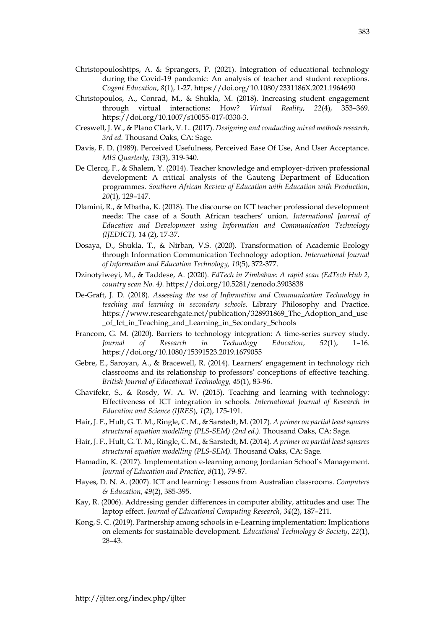- Christopouloshttps, A. & Sprangers, P. (2021). Integration of educational technology during the Covid-19 pandemic: An analysis of teacher and student receptions. C*ogent Education*, *8*(1), 1-27. https://doi.org/10.1080/2331186X.2021.1964690
- Christopoulos, A., Conrad, M., & Shukla, M. (2018). Increasing student engagement through virtual interactions: How? *Virtual Reality*, *22*(4), 353–369. https://doi.org/10.1007/s10055-017-0330-3.
- Creswell, J. W., & Plano Clark, V. L. (2017). *Designing and conducting mixed methods research, 3rd ed.* Thousand Oaks, CA: Sage.
- Davis, F. D. (1989). Perceived Usefulness, Perceived Ease Of Use, And User Acceptance. *MIS Quarterly, 13*(3), 319-340.
- De Clercq, F., & Shalem, Y. (2014). Teacher knowledge and employer-driven professional development: A critical analysis of the Gauteng Department of Education programmes. *Southern African Review of Education with Education with Production*, *20*(1), 129–147.
- Dlamini, R., & Mbatha, K. (2018). The discourse on ICT teacher professional development needs: The case of a South African teachers' union. *International Journal of Education and Development using Information and Communication Technology (IJEDICT), 14* (2), 17-37.
- Dosaya, D., Shukla, T., & Nirban, V.S. (2020). Transformation of Academic Ecology through Information Communication Technology adoption. *International Journal of Information and Education Technology, 10*(5), 372-377.
- Dzinotyiweyi, M., & Taddese, A. (2020). *EdTech in Zimbabwe: A rapid scan (EdTech Hub 2, country scan No. 4).* https://doi.org/10.5281/zenodo.3903838
- De-Graft, J. D. (2018). *Assessing the use of Information and Communication Technology in teaching and learning in secondary schools.* Library Philosophy and Practice. https://www.researchgate.net/publication/328931869\_The\_Adoption\_and\_use \_of\_Ict\_in\_Teaching\_and\_Learning\_in\_Secondary\_Schools
- Francom, G. M. (2020). Barriers to technology integration: A time-series survey study. *Journal of Research in Technology Education*, *52*(1), 1–16. https://doi.org/10.1080/15391523.2019.1679055
- Gebre, E., Saroyan, A., & Bracewell, R. (2014). Learners' engagement in technology rich classrooms and its relationship to professors' conceptions of effective teaching. *British Journal of Educational Technology, 45*(1), 83-96.
- Ghavifekr, S., & Rosdy, W. A. W. (2015). Teaching and learning with technology: Effectiveness of ICT integration in schools. *International Journal of Research in Education and Science (IJRES*), *1*(2), 175-191.
- Hair, J. F., Hult, G. T. M., Ringle, C. M., & Sarstedt, M. (2017). *A primer on partial least squares structural equation modelling (PLS-SEM) (2nd ed.).* Thousand Oaks, CA: Sage.
- Hair, J. F., Hult, G. T. M., Ringle, C. M., & Sarstedt, M. (2014). *A primer on partial least squares structural equation modelling (PLS-SEM).* Thousand Oaks, CA: Sage.
- Hamadin, K. (2017). Implementation e-learning among Jordanian School's Management. *Journal of Education and Practice*, *8*(11), 79-87.
- Hayes, D. N. A. (2007). ICT and learning: Lessons from Australian classrooms. *Computers & Education*, *49*(2), 385-395.
- Kay, R. (2006). Addressing gender differences in computer ability, attitudes and use: The laptop effect. *Journal of Educational Computing Research*, *34*(2), 187–211.
- Kong, S. C. (2019). Partnership among schools in e-Learning implementation: Implications on elements for sustainable development. *Educational Technology & Society*, *22*(1), 28–43.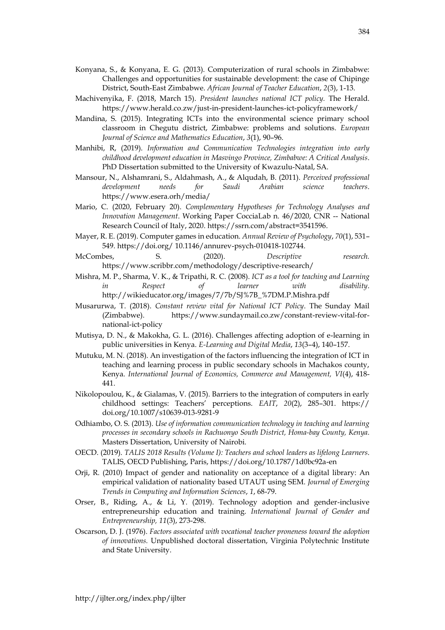- Konyana, S., & Konyana, E. G. (2013). Computerization of rural schools in Zimbabwe: Challenges and opportunities for sustainable development: the case of Chipinge District, South-East Zimbabwe. *African Journal of Teacher Education*, *2*(3), 1-13.
- Machivenyika, F. (2018, March 15). *President launches national ICT policy.* The Herald. https://www.herald.co.zw/just-in-president-launches-ict-policyframework/
- Mandina, S. (2015). Integrating ICTs into the environmental science primary school classroom in Chegutu district, Zimbabwe: problems and solutions. *European Journal of Science and Mathematics Education*, *3*(1), 90–96.
- Manhibi, R, (2019). *Information and Communication Technologies integration into early childhood development education in Masvingo Province, Zimbabwe: A Critical Analysis*. PhD Dissertation submitted to the University of Kwazulu-Natal, SA.
- Mansour, N., Alshamrani, S., Aldahmash, A., & Alqudah, B. (2011). *Perceived professional development needs for Saudi Arabian science teachers*. https://www.esera.orh/media/
- Mario, C. (2020, February 20). *Complementary Hypotheses for Technology Analyses and Innovation Management*. Working Paper CocciaLab n. 46/2020, CNR -- National Research Council of Italy, 2020. https://ssrn.com/abstract=3541596.
- Mayer, R. E. (2019). Computer games in education. *Annual Review of Psychology*, *70*(1), 531– 549. https://doi.org/ 10.1146/annurev-psych-010418-102744.
- McCombes, S. (2020). *Descriptive research.* https://www.scribbr.com/methodology/descriptive-research/
- Mishra, M. P., Sharma, V. K., & Tripathi, R. C. (2008). *ICT as a tool for teaching and Learning in Respect of learner with disability*. http://wikieducator.org/images/7/7b/SJ%7B\_%7DM.P.Mishra.pdf
- Musarurwa, T. (2018). *Constant review vital for National ICT Policy*. The Sunday Mail (Zimbabwe). https://www.sundaymail.co.zw/constant-review-vital-fornational-ict-policy
- Mutisya, D. N., & Makokha, G. L. (2016). Challenges affecting adoption of e-learning in public universities in Kenya. *E-Learning and Digital Media*, *13*(3–4), 140–157.
- Mutuku, M. N. (2018). An investigation of the factors influencing the integration of ICT in teaching and learning process in public secondary schools in Machakos county, Kenya. *International Journal of Economics, Commerce and Management, VI*(4), 418- 441.
- Nikolopoulou, K., & Gialamas, V. (2015). Barriers to the integration of computers in early childhood settings: Teachers' perceptions. *EAIT*, *20*(2), 285–301. https:// doi.org/10.1007/s10639-013-9281-9
- Odhiambo, O. S. (2013). *Use of information communication technology in teaching and learning processes in secondary schools in Rachuonyo South District, Homa-bay County, Kenya.* Masters Dissertation, University of Nairobi.
- OECD. (2019). *TALIS 2018 Results (Volume I): Teachers and school leaders as lifelong Learners*. TALIS, OECD Publishing, Paris, https://doi.org/10.1787/1d0bc92a-en
- Orji, R. (2010) Impact of gender and nationality on acceptance of a digital library: An empirical validation of nationality based UTAUT using SEM. *Journal of Emerging Trends in Computing and Information Sciences*, *1*, 68-79.
- Orser, B., Riding, A., & Li, Y. (2019). Technology adoption and gender-inclusive entrepreneurship education and training. *International Journal of Gender and Entrepreneurship, 11*(3), 273-298.
- Oscarson, D. J. (1976). *Factors associated with vocational teacher proneness toward the adoption of innovations.* Unpublished doctoral dissertation, Virginia Polytechnic Institute and State University.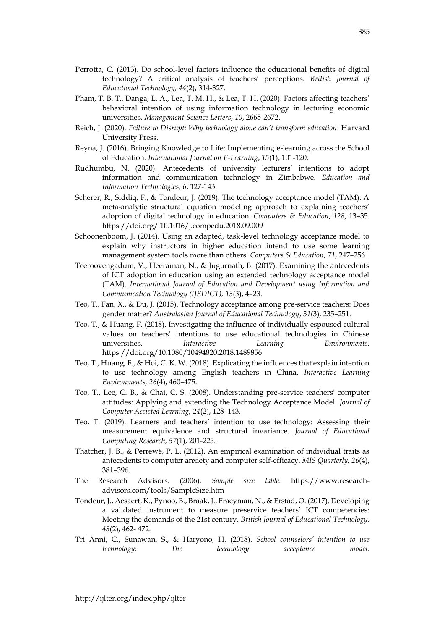- Perrotta, C. (2013). Do school-level factors influence the educational benefits of digital technology? A critical analysis of teachers' perceptions. *British Journal of Educational Technology, 44*(2), 314-327.
- Pham, T. B. T., Danga, L. A., Lea, T. M. H., & Lea, T. H. (2020). Factors affecting teachers' behavioral intention of using information technology in lecturing economic universities. *Management Science Letters*, *10*, 2665-2672.
- Reich, J. (2020). *Failure to Disrupt: Why technology alone can't transform education*. Harvard University Press.
- Reyna, J. (2016). Bringing Knowledge to Life: Implementing e-learning across the School of Education. *International Journal on E-Learning*, *15*(1), 101-120.
- Rudhumbu, N. (2020). Antecedents of university lecturers' intentions to adopt information and communication technology in Zimbabwe. *Education and Information Technologies, 6*, 127-143.
- Scherer, R., Siddiq, F., & Tondeur, J. (2019). The technology acceptance model (TAM): A meta-analytic structural equation modeling approach to explaining teachers' adoption of digital technology in education. *Computers & Education*, *128*, 13–35. https://doi.org/ 10.1016/j.compedu.2018.09.009
- Schoonenboom, J. (2014). Using an adapted, task-level technology acceptance model to explain why instructors in higher education intend to use some learning management system tools more than others. *Computers & Education*, *71*, 247–256.
- Teeroovengadum, V., Heeraman, N., & Jugurnath, B. (2017). Examining the antecedents of ICT adoption in education using an extended technology acceptance model (TAM). *International Journal of Education and Development using Information and Communication Technology (IJEDICT), 13*(3), 4–23.
- Teo, T., Fan, X., & Du, J. (2015). Technology acceptance among pre-service teachers: Does gender matter? *Australasian Journal of Educational Technology*, *31*(3), 235–251.
- Teo, T., & Huang, F. (2018). Investigating the influence of individually espoused cultural values on teachers' intentions to use educational technologies in Chinese universities. *Interactive Learning Environments*. https://doi.org/10.1080/10494820.2018.1489856
- Teo, T., Huang, F., & Hoi, C. K. W. (2018). Explicating the influences that explain intention to use technology among English teachers in China. *Interactive Learning Environments, 26*(4), 460–475.
- Teo, T., Lee, C. B., & Chai, C. S. (2008). Understanding pre-service teachers' computer attitudes: Applying and extending the Technology Acceptance Model. *Journal of Computer Assisted Learning, 24*(2), 128–143.
- Teo, T. (2019). Learners and teachers' intention to use technology: Assessing their measurement equivalence and structural invariance. *Journal of Educational Computing Research, 57*(1), 201-225.
- Thatcher, J. B., & Perrewé, P. L. (2012). An empirical examination of individual traits as antecedents to computer anxiety and computer self-efficacy. *MIS Quarterly, 26*(4), 381–396.
- The Research Advisors. (2006). *Sample size table.* https://www.researchadvisors.com/tools/SampleSize.htm
- Tondeur, J., Aesaert, K., Pynoo, B., Braak, J., Fraeyman, N., & Erstad, O. (2017). Developing a validated instrument to measure preservice teachers' ICT competencies: Meeting the demands of the 21st century. *British Journal of Educational Technology*, *48*(2), 462- 472.
- Tri Anni, C., Sunawan, S., & Haryono, H. (2018). *School counselors' intention to use technology: The technology acceptance model*.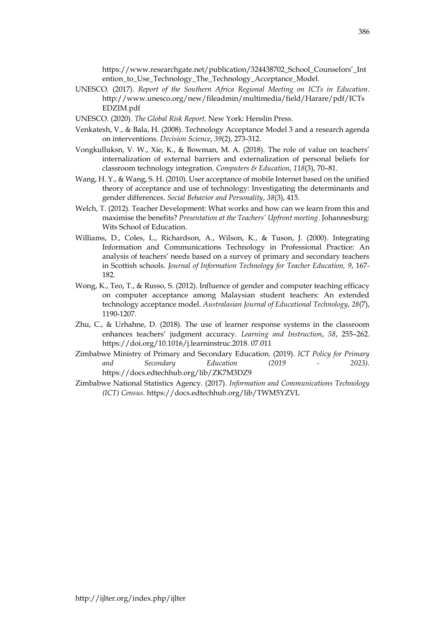https://www.researchgate.net/publication/324438702\_School\_Counselors'\_Int ention\_to\_Use\_Technology\_The\_Technology\_Acceptance\_Model.

- UNESCO. (2017). *Report of the Southern Africa Regional Meeting on ICTs in Education*. http://www.unesco.org/new/fileadmin/multimedia/field/Harare/pdf/ICTs EDZIM.pdf
- UNESCO. (2020). *The Global Risk Report*. New York: Henslin Press.
- Venkatesh, V., & Bala, H. (2008). Technology Acceptance Model 3 and a research agenda on interventions. *Decision Science*, *39*(2), 273-312.
- Vongkulluksn, V. W., Xie, K., & Bowman, M. A. (2018). The role of value on teachers' internalization of external barriers and externalization of personal beliefs for classroom technology integration. *Computers & Education*, *118*(3), 70–81.
- Wang, H. Y., & Wang, S. H. (2010). User acceptance of mobile Internet based on the unified theory of acceptance and use of technology: Investigating the determinants and gender differences. *Social Behavior and Personality*, *38*(3), 415.
- Welch, T. (2012). Teacher Development: What works and how can we learn from this and maximise the benefits? *Presentation at the Teachers' Upfront meeting*. Johannesburg: Wits School of Education.
- Williams, D., Coles, L., Richardson, A., Wilson, K., & Tuson, J. (2000). Integrating Information and Communications Technology in Professional Practice: An analysis of teachers' needs based on a survey of primary and secondary teachers in Scottish schools. *Journal of Information Technology for Teacher Education, 9*, 167- 182.
- Wong, K., Teo, T., & Russo, S. (2012). Influence of gender and computer teaching efficacy on computer acceptance among Malaysian student teachers: An extended technology acceptance model. *Australasian Journal of Educational Technology*, *28*(7), 1190-1207.
- Zhu, C., & Urhahne, D. (2018). The use of learner response systems in the classroom enhances teachers' judgment accuracy. *Learning and Instruction*, *58*, 255–262. https://doi.org/10.1016/j.learninstruc.2018. 07.011
- Zimbabwe Ministry of Primary and Secondary Education. (2019). *ICT Policy for Primary and Secondary Education (2019 - 2023)*. https://docs.edtechhub.org/lib/ZK7M3DZ9
- Zimbabwe National Statistics Agency. (2017). *Information and Communications Technology (ICT) Census*. https://docs.edtechhub.org/lib/TWM5YZVL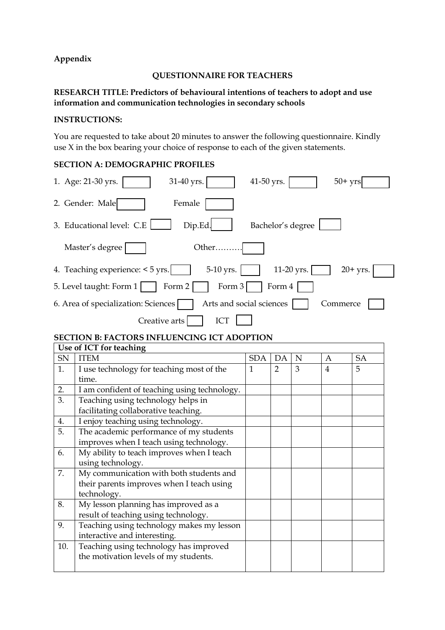# **Appendix**

### **QUESTIONNAIRE FOR TEACHERS**

# **RESEARCH TITLE: Predictors of behavioural intentions of teachers to adopt and use information and communication technologies in secondary schools**

# **INSTRUCTIONS:**

You are requested to take about 20 minutes to answer the following questionnaire. Kindly use X in the box bearing your choice of response to each of the given statements.

# **SECTION A: DEMOGRAPHIC PROFILES**

| 1. Age: 21-30 yrs.<br>31-40 yrs.<br>$50+$ yrs<br>41-50 yrs.                              |
|------------------------------------------------------------------------------------------|
| 2. Gender: Male<br>Female                                                                |
| 3. Educational level: C.E<br>Dip.Ed.<br>Bachelor's degree                                |
| Master's degree<br>Other                                                                 |
| 4. Teaching experience: $\lt 5$ yrs.<br>$5-10$ yrs.<br>$11-20$ yrs.<br>$20+$ yrs.        |
| 5. Level taught: Form $1 \mid \cdot \cdot$ Form $2 \mid \cdot \cdot$<br>Form 3<br>Form 4 |
| Arts and social sciences<br>6. Area of specialization: Sciences<br>Commerce              |
| ICT<br>Creative arts                                                                     |
| <b>SECTION B: FACTORS INFLUENCING ICT ADOPTION</b>                                       |

|     | Use of ICT for teaching                      |              |    |   |   |    |  |
|-----|----------------------------------------------|--------------|----|---|---|----|--|
| SN  | <b>ITEM</b>                                  | SDA          | DA | N | A | SA |  |
| 1.  | I use technology for teaching most of the    | $\mathbf{1}$ | 2  | 3 | 4 | 5  |  |
|     | time.                                        |              |    |   |   |    |  |
| 2.  | I am confident of teaching using technology. |              |    |   |   |    |  |
| 3.  | Teaching using technology helps in           |              |    |   |   |    |  |
|     | facilitating collaborative teaching.         |              |    |   |   |    |  |
| 4.  | I enjoy teaching using technology.           |              |    |   |   |    |  |
| 5.  | The academic performance of my students      |              |    |   |   |    |  |
|     | improves when I teach using technology.      |              |    |   |   |    |  |
| 6.  | My ability to teach improves when I teach    |              |    |   |   |    |  |
|     | using technology.                            |              |    |   |   |    |  |
| 7.  | My communication with both students and      |              |    |   |   |    |  |
|     | their parents improves when I teach using    |              |    |   |   |    |  |
|     | technology.                                  |              |    |   |   |    |  |
| 8.  | My lesson planning has improved as a         |              |    |   |   |    |  |
|     | result of teaching using technology.         |              |    |   |   |    |  |
| 9.  | Teaching using technology makes my lesson    |              |    |   |   |    |  |
|     | interactive and interesting.                 |              |    |   |   |    |  |
| 10. | Teaching using technology has improved       |              |    |   |   |    |  |
|     | the motivation levels of my students.        |              |    |   |   |    |  |
|     |                                              |              |    |   |   |    |  |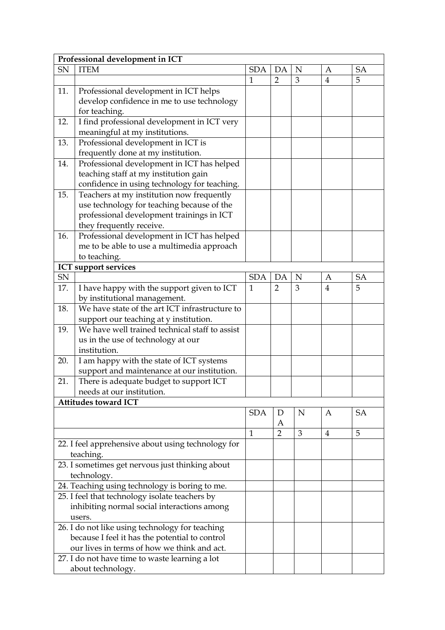|     | Professional development in ICT                    |              |                |             |                |           |
|-----|----------------------------------------------------|--------------|----------------|-------------|----------------|-----------|
| SN  | <b>ITEM</b>                                        | <b>SDA</b>   | DA             | N           | A              | <b>SA</b> |
|     |                                                    | $\mathbf{1}$ | $\overline{2}$ | 3           | $\overline{4}$ | 5         |
| 11. | Professional development in ICT helps              |              |                |             |                |           |
|     | develop confidence in me to use technology         |              |                |             |                |           |
|     | for teaching.                                      |              |                |             |                |           |
| 12. | I find professional development in ICT very        |              |                |             |                |           |
|     | meaningful at my institutions.                     |              |                |             |                |           |
| 13. | Professional development in ICT is                 |              |                |             |                |           |
|     | frequently done at my institution.                 |              |                |             |                |           |
| 14. | Professional development in ICT has helped         |              |                |             |                |           |
|     | teaching staff at my institution gain              |              |                |             |                |           |
|     | confidence in using technology for teaching.       |              |                |             |                |           |
| 15. | Teachers at my institution now frequently          |              |                |             |                |           |
|     | use technology for teaching because of the         |              |                |             |                |           |
|     | professional development trainings in ICT          |              |                |             |                |           |
|     | they frequently receive.                           |              |                |             |                |           |
| 16. | Professional development in ICT has helped         |              |                |             |                |           |
|     | me to be able to use a multimedia approach         |              |                |             |                |           |
|     | to teaching.                                       |              |                |             |                |           |
|     | <b>ICT</b> support services                        |              |                |             |                |           |
| SN  |                                                    | <b>SDA</b>   | DA             | N           | A              | <b>SA</b> |
| 17. | I have happy with the support given to ICT         | $\mathbf{1}$ | $\overline{2}$ | 3           | $\overline{4}$ | 5         |
|     | by institutional management.                       |              |                |             |                |           |
| 18. | We have state of the art ICT infrastructure to     |              |                |             |                |           |
|     | support our teaching at y institution.             |              |                |             |                |           |
| 19. | We have well trained technical staff to assist     |              |                |             |                |           |
|     | us in the use of technology at our                 |              |                |             |                |           |
|     | institution.                                       |              |                |             |                |           |
| 20. | I am happy with the state of ICT systems           |              |                |             |                |           |
|     | support and maintenance at our institution.        |              |                |             |                |           |
| 21. | There is adequate budget to support ICT            |              |                |             |                |           |
|     | needs at our institution.                          |              |                |             |                |           |
|     | <b>Attitudes toward ICT</b>                        |              |                |             |                |           |
|     |                                                    | <b>SDA</b>   | D              | $\mathbf N$ | A              | <b>SA</b> |
|     |                                                    |              | Α              |             |                |           |
|     |                                                    | $\mathbf{1}$ | $\overline{2}$ | 3           | $\overline{4}$ | 5         |
|     | 22. I feel apprehensive about using technology for |              |                |             |                |           |
|     | teaching.                                          |              |                |             |                |           |
|     | 23. I sometimes get nervous just thinking about    |              |                |             |                |           |
|     | technology.                                        |              |                |             |                |           |
|     | 24. Teaching using technology is boring to me.     |              |                |             |                |           |
|     | 25. I feel that technology isolate teachers by     |              |                |             |                |           |
|     | inhibiting normal social interactions among        |              |                |             |                |           |
|     | users.                                             |              |                |             |                |           |
|     | 26. I do not like using technology for teaching    |              |                |             |                |           |
|     | because I feel it has the potential to control     |              |                |             |                |           |
|     | our lives in terms of how we think and act.        |              |                |             |                |           |
|     | 27. I do not have time to waste learning a lot     |              |                |             |                |           |
|     | about technology.                                  |              |                |             |                |           |